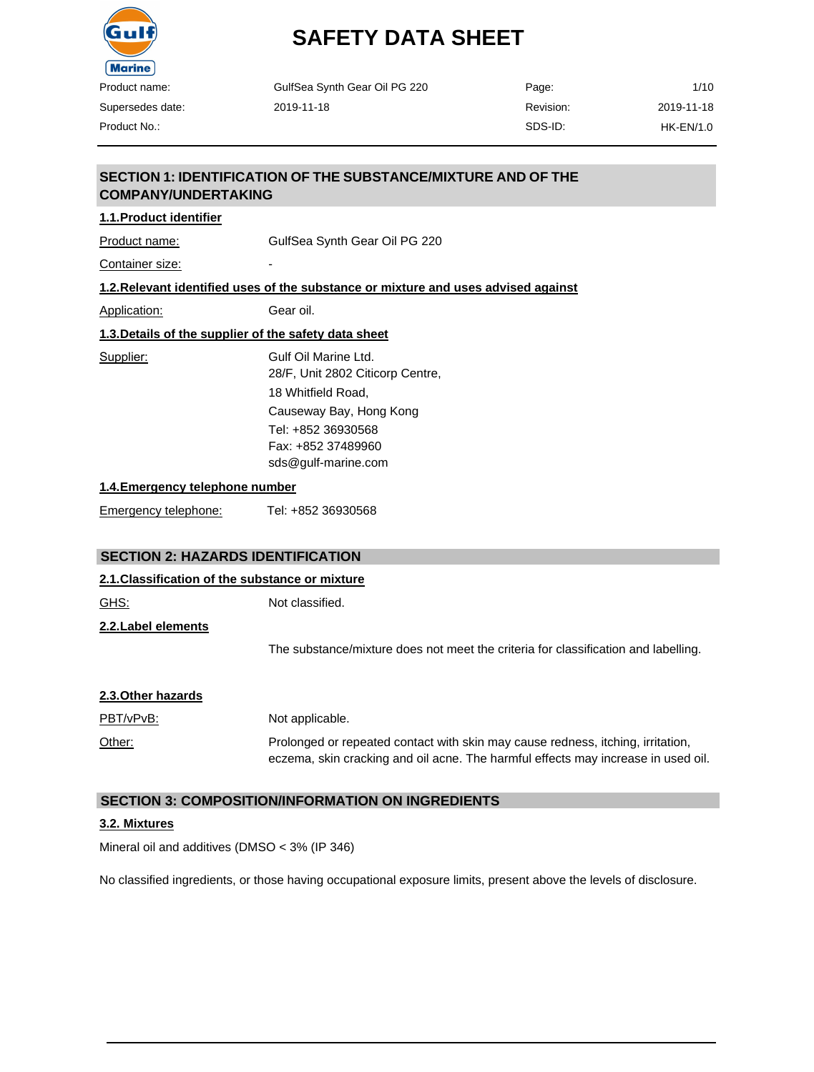

Product No.:

# **SAFETY DATA SHEET**

| 1/10       | Page:     | GulfSea Synth Gear Oil PG 220 |
|------------|-----------|-------------------------------|
| 2019-11-18 | Revision: | 2019-11-18                    |
| HK-EN/1.0  | SDS-ID:   |                               |

#### **SECTION 1: IDENTIFICATION OF THE SUBSTANCE/MIXTURE AND OF THE COMPANY/UNDERTAKING**

#### **1.1.Product identifier**

Product name: GulfSea Synth Gear Oil PG 220

Container size:

#### **1.2.Relevant identified uses of the substance or mixture and uses advised against**

Application: Gear oil.

| 1.3. Details of the supplier of the safety data sheet |  |  |  |
|-------------------------------------------------------|--|--|--|
|                                                       |  |  |  |

Supplier: Gulf Oil Marine Ltd. 28/F, Unit 2802 Citicorp Centre, 18 Whitfield Road, Causeway Bay, Hong Kong Tel: +852 36930568 Fax: +852 37489960 [sds@gulf-marine.com](mailto:sds@gulf-marine.com)

#### **1.4.Emergency telephone number**

Emergency telephone: Tel: +852 36930568

#### **SECTION 2: HAZARDS IDENTIFICATION**

#### **2.1.Classification of the substance or mixture**

| GHS:               | Not classified.                                                                    |
|--------------------|------------------------------------------------------------------------------------|
| 2.2.Label elements |                                                                                    |
|                    | The substance/mixture does not meet the criteria for classification and labelling. |
|                    |                                                                                    |

| 2.3. Other hazards |                                                                                                                                                                      |
|--------------------|----------------------------------------------------------------------------------------------------------------------------------------------------------------------|
| PBT/vPvB:          | Not applicable.                                                                                                                                                      |
| Other:             | Prolonged or repeated contact with skin may cause redness, itching, irritation,<br>eczema, skin cracking and oil acne. The harmful effects may increase in used oil. |

#### **SECTION 3: COMPOSITION/INFORMATION ON INGREDIENTS**

#### **3.2. Mixtures**

Mineral oil and additives (DMSO < 3% (IP 346)

No classified ingredients, or those having occupational exposure limits, present above the levels of disclosure.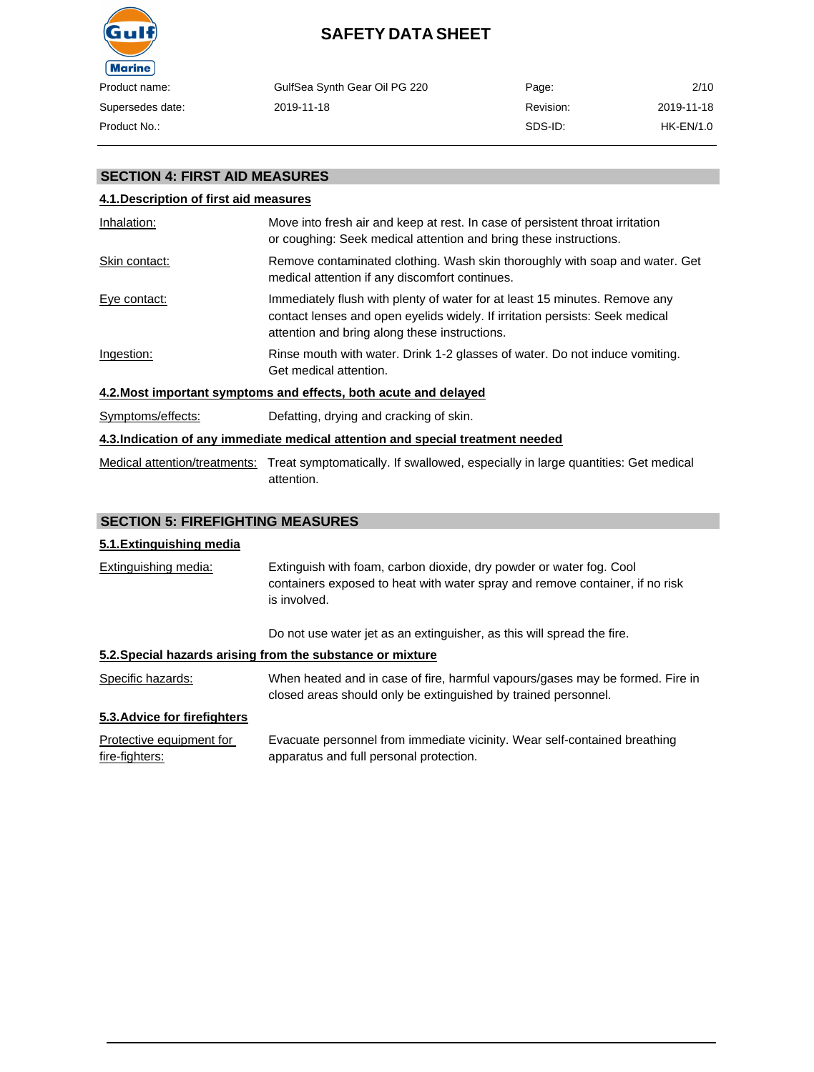

|       | GulfSea Synth Gear Oil PG 220 | Page:     | 2/10       |
|-------|-------------------------------|-----------|------------|
| date: | 2019-11-18                    | Revision: | 2019-11-18 |
|       |                               | SDS-ID:   | HK-EN/1.0  |

#### **SECTION 4: FIRST AID MEASURES**

# **4.1.Description of first aid measures** Inhalation: Move into fresh air and keep at rest. In case of persistent throat irritation or coughing: Seek medical attention and bring these instructions. Skin contact: Remove contaminated clothing. Wash skin thoroughly with soap and water. Get medical attention if any discomfort continues. Eye contact: Immediately flush with plenty of water for at least 15 minutes. Remove any contact lenses and open eyelids widely. If irritation persists: Seek medical attention and bring along these instructions. Ingestion: Rinse mouth with water. Drink 1-2 glasses of water. Do not induce vomiting. Get medical attention. **4.2.Most important symptoms and effects, both acute and delayed** Symptoms/effects: Defatting, drying and cracking of skin. **4.3.Indication of any immediate medical attention and special treatment needed** Medical attention/treatments: Treat symptomatically. If swallowed, especially in large quantities: Get medical attention.

#### **SECTION 5: FIREFIGHTING MEASURES**

#### **5.1.Extinguishing media**

Extinguishing media: Extinguish with foam, carbon dioxide, dry powder or water fog. Cool containers exposed to heat with water spray and remove container, if no risk is involved.

Do not use water jet as an extinguisher, as this will spread the fire.

#### **5.2.Special hazards arising from the substance or mixture**

Specific hazards: When heated and in case of fire, harmful vapours/gases may be formed. Fire in closed areas should only be extinguished by trained personnel.

#### **5.3.Advice for firefighters**

| Protective equipment for | Evacuate personnel from immediate vicinity. Wear self-contained breathing |
|--------------------------|---------------------------------------------------------------------------|
| fire-fighters:           | apparatus and full personal protection.                                   |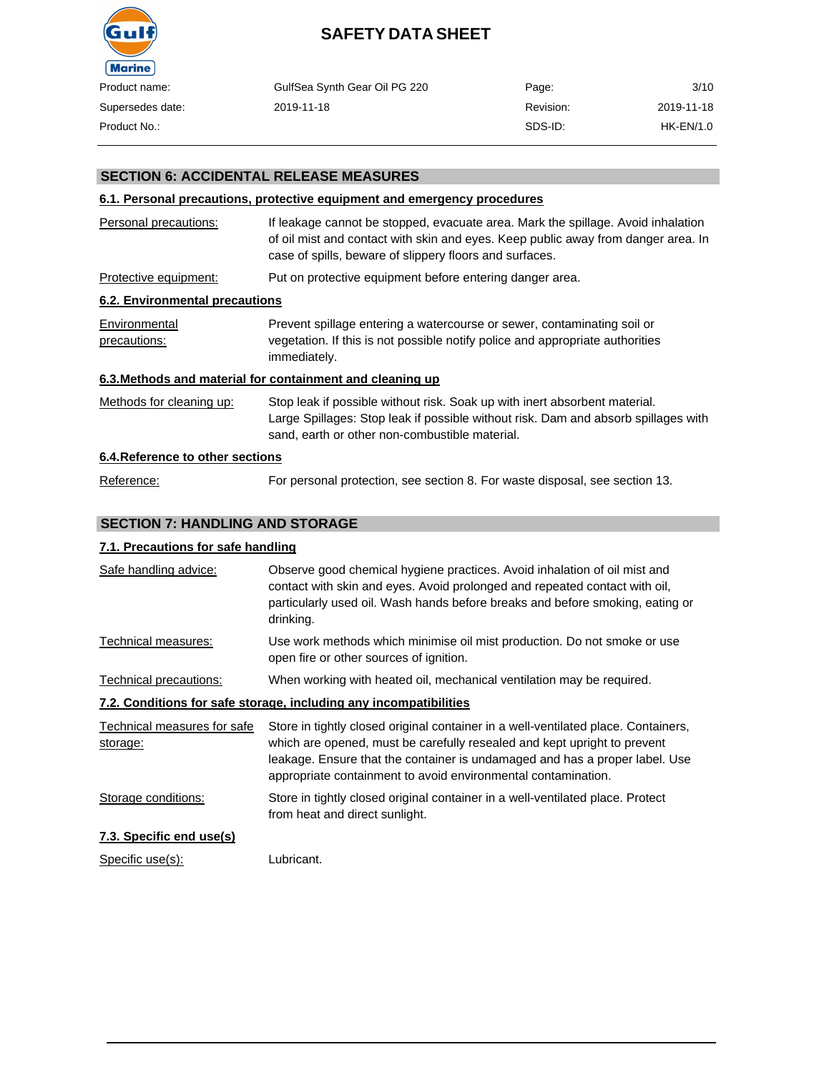

| uct name:     | GulfSea Synth Gear Oil PG 220 | Page:     | 3/10       |
|---------------|-------------------------------|-----------|------------|
| ersedes date: | 2019-11-18                    | Revision: | 2019-11-18 |
| uct No.:      |                               | SDS-ID:   | HK-EN/1.0  |

#### **SECTION 6: ACCIDENTAL RELEASE MEASURES**

#### **6.1. Personal precautions, protective equipment and emergency procedures**

| Personal precautions:            | If leakage cannot be stopped, evacuate area. Mark the spillage. Avoid inhalation<br>of oil mist and contact with skin and eyes. Keep public away from danger area. In<br>case of spills, beware of slippery floors and surfaces. |
|----------------------------------|----------------------------------------------------------------------------------------------------------------------------------------------------------------------------------------------------------------------------------|
| Protective equipment:            | Put on protective equipment before entering danger area.                                                                                                                                                                         |
| 6.2. Environmental precautions   |                                                                                                                                                                                                                                  |
| Environmental<br>precautions:    | Prevent spillage entering a watercourse or sewer, contaminating soil or<br>vegetation. If this is not possible notify police and appropriate authorities<br>immediately.                                                         |
|                                  | 6.3. Methods and material for containment and cleaning up                                                                                                                                                                        |
| Methods for cleaning up:         | Stop leak if possible without risk. Soak up with inert absorbent material.<br>Large Spillages: Stop leak if possible without risk. Dam and absorb spillages with<br>sand, earth or other non-combustible material.               |
| 6.4. Reference to other sections |                                                                                                                                                                                                                                  |
| Reference:                       | For personal protection, see section 8. For waste disposal, see section 13.                                                                                                                                                      |

#### **SECTION 7: HANDLING AND STORAGE**

#### **7.1. Precautions for safe handling**

| Safe handling advice:                   | Observe good chemical hygiene practices. Avoid inhalation of oil mist and<br>contact with skin and eyes. Avoid prolonged and repeated contact with oil,<br>particularly used oil. Wash hands before breaks and before smoking, eating or<br>drinking. |
|-----------------------------------------|-------------------------------------------------------------------------------------------------------------------------------------------------------------------------------------------------------------------------------------------------------|
| Technical measures:                     | Use work methods which minimise oil mist production. Do not smoke or use<br>open fire or other sources of ignition.                                                                                                                                   |
| Technical precautions:                  | When working with heated oil, mechanical ventilation may be required.                                                                                                                                                                                 |
|                                         | 7.2. Conditions for safe storage, including any incompatibilities                                                                                                                                                                                     |
| Technical measures for safe<br>storage: | Store in tightly closed original container in a well-ventilated place. Containers,<br>which are opened, must be carefully resealed and kept upright to prevent                                                                                        |
|                                         | leakage. Ensure that the container is undamaged and has a proper label. Use<br>appropriate containment to avoid environmental contamination.                                                                                                          |
| Storage conditions:                     | Store in tightly closed original container in a well-ventilated place. Protect<br>from heat and direct sunlight.                                                                                                                                      |
| 7.3. Specific end use(s)                |                                                                                                                                                                                                                                                       |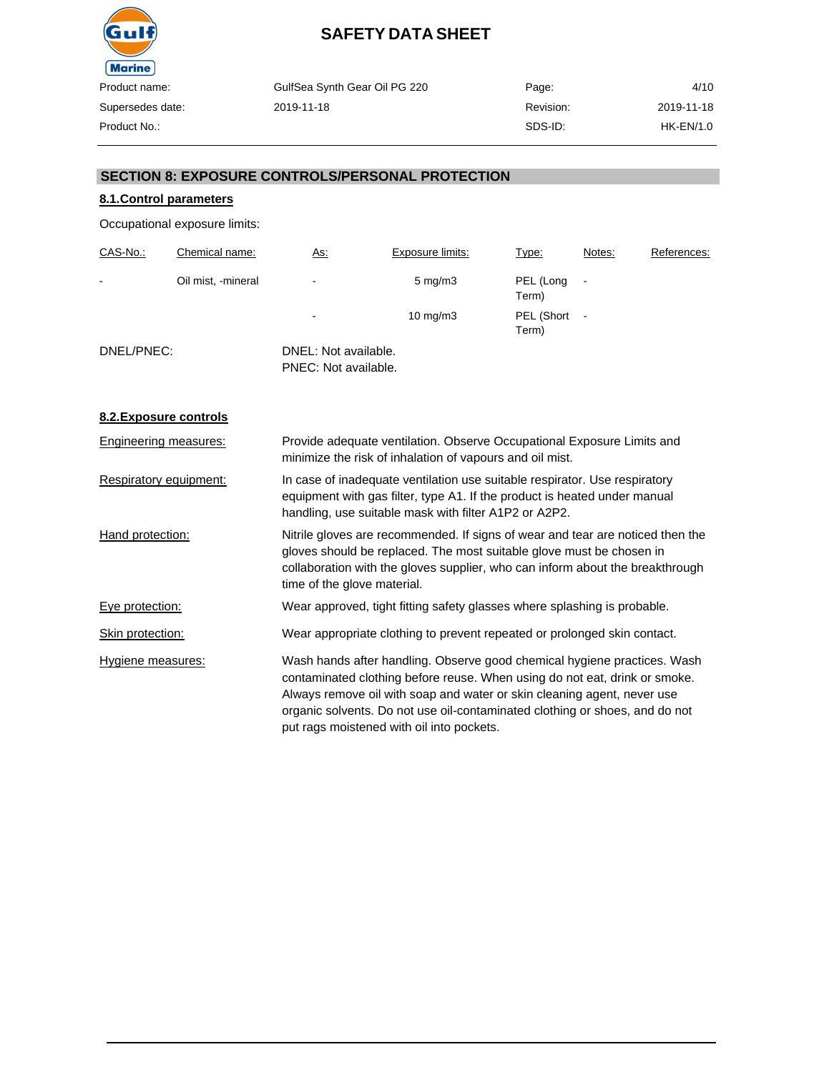

| GulfSea Synth Gear Oil PG 220 | Page:     | 4/10       |
|-------------------------------|-----------|------------|
| 2019-11-18                    | Revision: | 2019-11-18 |
|                               | SDS-ID:   | HK-EN/1.0  |

#### **SECTION 8: EXPOSURE CONTROLS/PERSONAL PROTECTION**

#### **8.1.Control parameters**

Occupational exposure limits:

| CAS-No.:   | Chemical name:     | <u>As:</u>                                   | Exposure limits:  | Type:               | Notes: | References: |
|------------|--------------------|----------------------------------------------|-------------------|---------------------|--------|-------------|
| -          | Oil mist, -mineral | ٠                                            | $5 \text{ mg/m}$  | PEL (Long<br>Term)  |        |             |
|            |                    | $\overline{\phantom{a}}$                     | $10 \text{ mg/m}$ | PEL (Short<br>Term) |        |             |
| DNEL/PNEC: |                    | DNEL: Not available.<br>PNEC: Not available. |                   |                     |        |             |

**8.2.Exposure controls**

| Engineering measures:    | Provide adequate ventilation. Observe Occupational Exposure Limits and<br>minimize the risk of inhalation of vapours and oil mist.                                                                                                                                                                                                                            |
|--------------------------|---------------------------------------------------------------------------------------------------------------------------------------------------------------------------------------------------------------------------------------------------------------------------------------------------------------------------------------------------------------|
| Respiratory equipment:   | In case of inadequate ventilation use suitable respirator. Use respiratory<br>equipment with gas filter, type A1. If the product is heated under manual<br>handling, use suitable mask with filter A1P2 or A2P2.                                                                                                                                              |
| Hand protection:         | Nitrile gloves are recommended. If signs of wear and tear are noticed then the<br>gloves should be replaced. The most suitable glove must be chosen in<br>collaboration with the gloves supplier, who can inform about the breakthrough<br>time of the glove material.                                                                                        |
| Eye protection:          | Wear approved, tight fitting safety glasses where splashing is probable.                                                                                                                                                                                                                                                                                      |
| Skin protection:         | Wear appropriate clothing to prevent repeated or prolonged skin contact.                                                                                                                                                                                                                                                                                      |
| <b>Hygiene measures:</b> | Wash hands after handling. Observe good chemical hygiene practices. Wash<br>contaminated clothing before reuse. When using do not eat, drink or smoke.<br>Always remove oil with soap and water or skin cleaning agent, never use<br>organic solvents. Do not use oil-contaminated clothing or shoes, and do not<br>put rags moistened with oil into pockets. |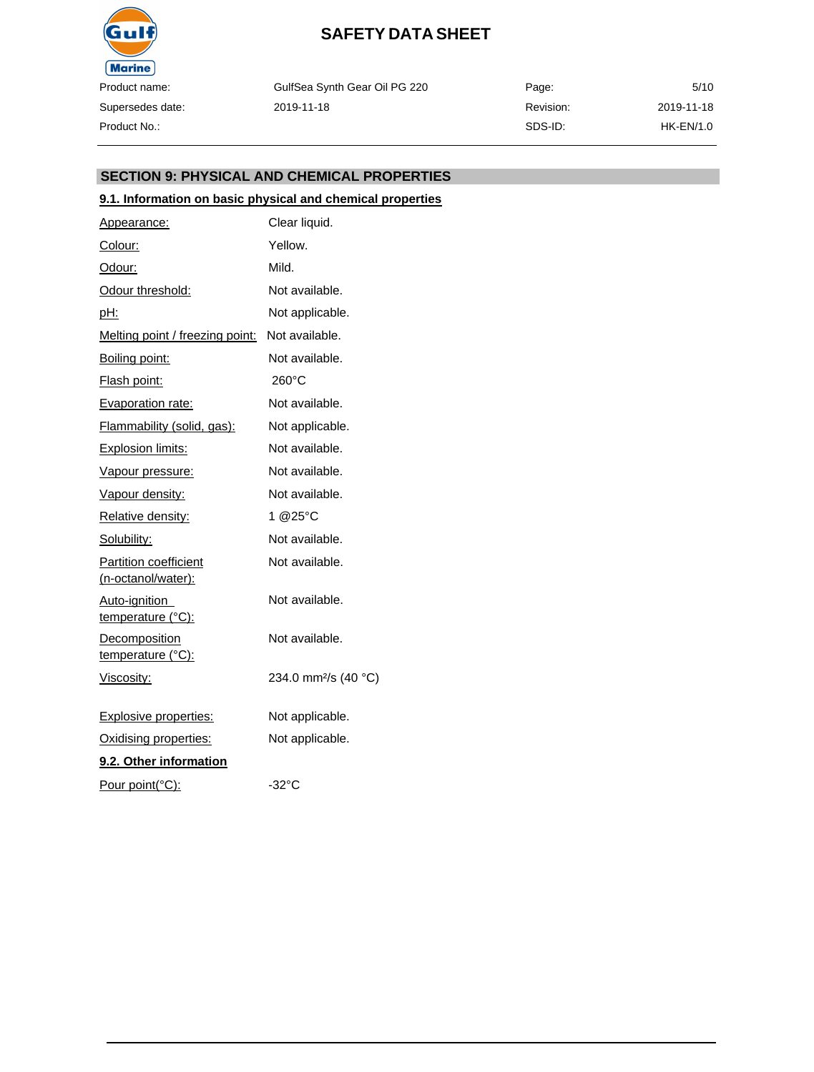

GulfSea Synth Gear Oil PG 220 2019-11-18

Page: Revision: SDS-ID: 5/10 2019-11-18 HK-EN/1.0

#### **SECTION 9: PHYSICAL AND CHEMICAL PROPERTIES**

#### **9.1. Information on basic physical and chemical properties**

| Appearance:                                        | Clear liquid.                    |
|----------------------------------------------------|----------------------------------|
| Colour:                                            | Yellow.                          |
| Odour:                                             | Mild.                            |
| Odour threshold:                                   | Not available.                   |
| pH:                                                | Not applicable.                  |
| Melting point / freezing point:                    | Not available.                   |
| Boiling point:                                     | Not available.                   |
| <b>Flash point:</b>                                | 260°C                            |
| Evaporation rate:                                  | Not available.                   |
| Flammability (solid, gas):                         | Not applicable.                  |
| Explosion limits:                                  | Not available.                   |
| Vapour pressure:                                   | Not available.                   |
| Vapour density:                                    | Not available.                   |
| Relative density:                                  | 1 @25°C                          |
| Solubility:                                        | Not available.                   |
| <b>Partition coefficient</b><br>(n-octanol/water): | Not available.                   |
| Auto-ignition<br>temperature (°C):                 | Not available.                   |
| Decomposition<br>temperature (°C):                 | Not available.                   |
| <u>Viscosity:</u>                                  | 234.0 mm <sup>2</sup> /s (40 °C) |
| <b>Explosive properties:</b>                       | Not applicable.                  |
| Oxidising properties:                              | Not applicable.                  |
| 9.2. Other information                             |                                  |
| Pour point(°C):                                    | $-32^{\circ}$ C                  |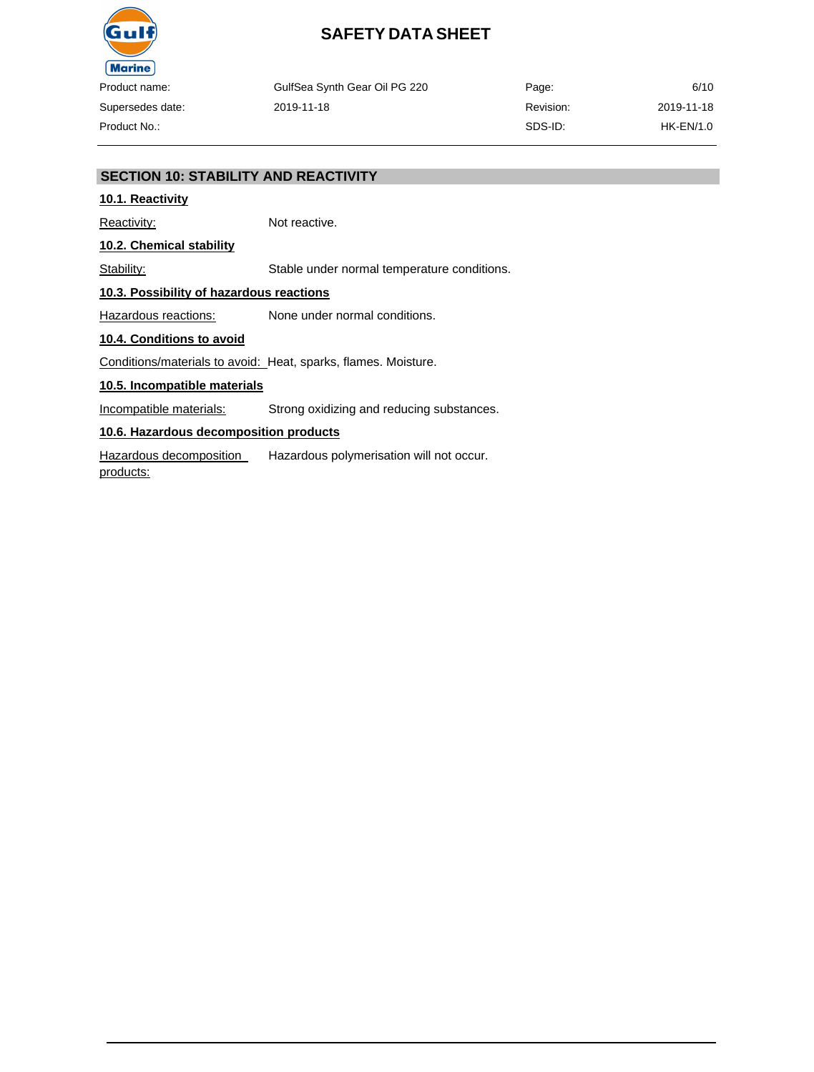

GulfSea Synth Gear Oil PG 220 2019-11-18

Page: Revision: SDS-ID: 6/10 2019-11-18 HK-EN/1.0

#### **SECTION 10: STABILITY AND REACTIVITY**

#### **10.1. Reactivity**

Reactivity: Not reactive.

**10.2. Chemical stability**

Stability: Stable under normal temperature conditions.

#### **10.3. Possibility of hazardous reactions**

Hazardous reactions: None under normal conditions.

#### **10.4. Conditions to avoid**

Conditions/materials to avoid: Heat, sparks, flames. Moisture.

#### **10.5. Incompatible materials**

Incompatible materials: Strong oxidizing and reducing substances.

#### **10.6. Hazardous decomposition products**

Hazardous decomposition products: Hazardous polymerisation will not occur.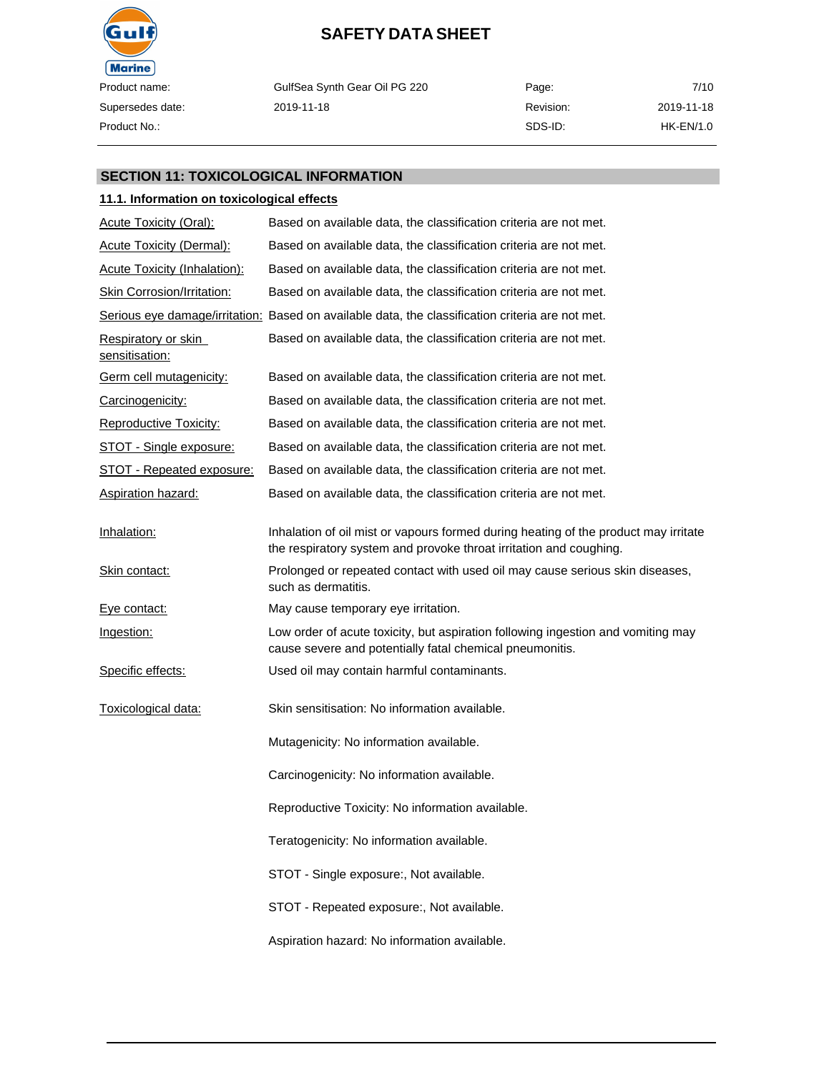

GulfSea Synth Gear Oil PG 220 2019-11-18

Page: Revision: SDS-ID: 7/10 2019-11-18 HK-EN/1.0

#### **SECTION 11: TOXICOLOGICAL INFORMATION**

#### **11.1. Information on toxicological effects**

| Acute Toxicity (Oral):                | Based on available data, the classification criteria are not met.                                                                                         |
|---------------------------------------|-----------------------------------------------------------------------------------------------------------------------------------------------------------|
| <b>Acute Toxicity (Dermal):</b>       | Based on available data, the classification criteria are not met.                                                                                         |
| <b>Acute Toxicity (Inhalation):</b>   | Based on available data, the classification criteria are not met.                                                                                         |
| Skin Corrosion/Irritation:            | Based on available data, the classification criteria are not met.                                                                                         |
|                                       | Serious eye damage/irritation: Based on available data, the classification criteria are not met.                                                          |
| Respiratory or skin<br>sensitisation: | Based on available data, the classification criteria are not met.                                                                                         |
| <b>Germ cell mutagenicity:</b>        | Based on available data, the classification criteria are not met.                                                                                         |
| Carcinogenicity:                      | Based on available data, the classification criteria are not met.                                                                                         |
| Reproductive Toxicity:                | Based on available data, the classification criteria are not met.                                                                                         |
| <b>STOT - Single exposure:</b>        | Based on available data, the classification criteria are not met.                                                                                         |
| <b>STOT - Repeated exposure:</b>      | Based on available data, the classification criteria are not met.                                                                                         |
| <b>Aspiration hazard:</b>             | Based on available data, the classification criteria are not met.                                                                                         |
| Inhalation:                           | Inhalation of oil mist or vapours formed during heating of the product may irritate<br>the respiratory system and provoke throat irritation and coughing. |
| <u>Skin contact:</u>                  | Prolonged or repeated contact with used oil may cause serious skin diseases,<br>such as dermatitis.                                                       |
| Eye contact:                          | May cause temporary eye irritation.                                                                                                                       |
| Ingestion:                            | Low order of acute toxicity, but aspiration following ingestion and vomiting may<br>cause severe and potentially fatal chemical pneumonitis.              |
| Specific effects:                     | Used oil may contain harmful contaminants.                                                                                                                |
| Toxicological data:                   | Skin sensitisation: No information available.                                                                                                             |
|                                       | Mutagenicity: No information available.                                                                                                                   |
|                                       | Carcinogenicity: No information available.                                                                                                                |
|                                       | Reproductive Toxicity: No information available.                                                                                                          |
|                                       | Teratogenicity: No information available.                                                                                                                 |
|                                       | STOT - Single exposure:, Not available.                                                                                                                   |
|                                       | STOT - Repeated exposure:, Not available.                                                                                                                 |
|                                       | Aspiration hazard: No information available.                                                                                                              |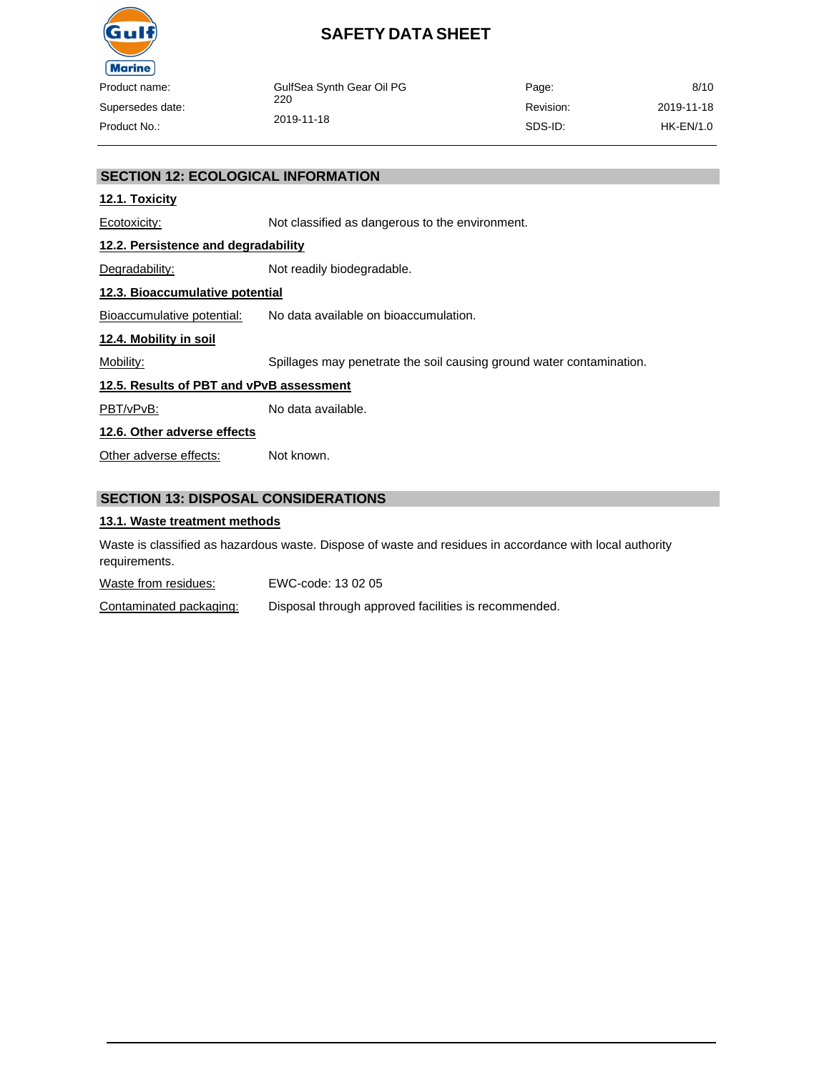

| ___         |                           |           |            |
|-------------|---------------------------|-----------|------------|
| ct name:    | GulfSea Synth Gear Oil PG | Page:     | 8/10       |
| sedes date: | 220                       | Revision: | 2019-11-18 |
| ∷t No∴      | 2019-11-18                | SDS-ID:   | HK-EN/1.0  |
|             |                           |           |            |

#### **SECTION 12: ECOLOGICAL INFORMATION**

#### **12.1. Toxicity**

Ecotoxicity: Not classified as dangerous to the environment.

#### **12.2. Persistence and degradability**

Degradability: Not readily biodegradable.

#### **12.3. Bioaccumulative potential**

Bioaccumulative potential: No data available on bioaccumulation.

#### **12.4. Mobility in soil**

Mobility: Spillages may penetrate the soil causing ground water contamination.

#### **12.5. Results of PBT and vPvB assessment**

PBT/vPvB: No data available.

#### **12.6. Other adverse effects**

Other adverse effects: Not known.

#### **SECTION 13: DISPOSAL CONSIDERATIONS**

#### **13.1. Waste treatment methods**

Waste is classified as hazardous waste. Dispose of waste and residues in accordance with local authority requirements.

Waste from residues: EWC-code: 13 02 05

Contaminated packaging: Disposal through approved facilities is recommended.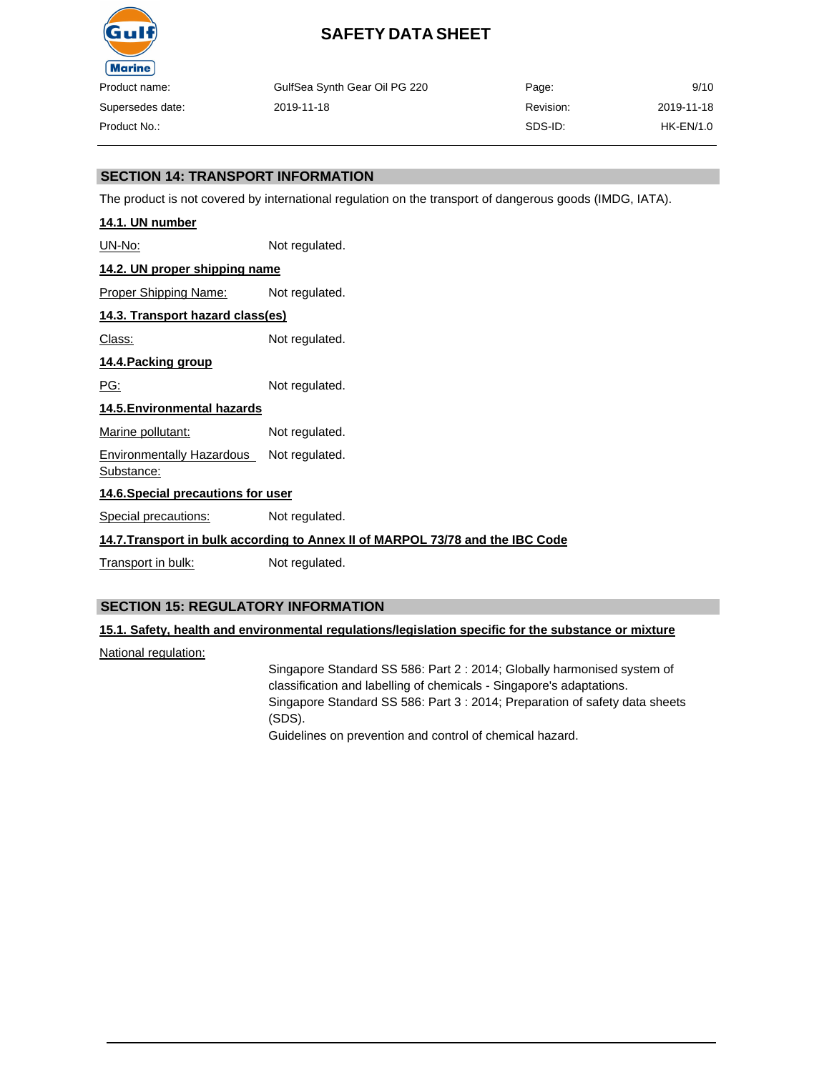

| ıme:    | GulfSea Synth Gear Oil PG 220 | Page:     | 9/10       |
|---------|-------------------------------|-----------|------------|
| s date: | 2019-11-18                    | Revision: | 2019-11-18 |
| ).:     |                               | SDS-ID:   | HK-EN/1.0  |

#### **SECTION 14: TRANSPORT INFORMATION**

The product is not covered by international regulation on the transport of dangerous goods (IMDG, IATA).

| 14.1. UN number                                |                                                                                |  |
|------------------------------------------------|--------------------------------------------------------------------------------|--|
| <u> UN-No:</u>                                 | Not regulated.                                                                 |  |
| 14.2. UN proper shipping name                  |                                                                                |  |
| Proper Shipping Name:                          | Not regulated.                                                                 |  |
| 14.3. Transport hazard class(es)               |                                                                                |  |
| Class:                                         | Not regulated.                                                                 |  |
| 14.4. Packing group                            |                                                                                |  |
| PG:                                            | Not regulated.                                                                 |  |
| 14.5. Environmental hazards                    |                                                                                |  |
| Marine pollutant:                              | Not regulated.                                                                 |  |
| <b>Environmentally Hazardous</b><br>Substance: | Not regulated.                                                                 |  |
| 14.6. Special precautions for user             |                                                                                |  |
| Special precautions:                           | Not regulated.                                                                 |  |
|                                                | 14.7. Transport in bulk according to Annex II of MARPOL 73/78 and the IBC Code |  |
| Transport in bulk:                             | Not regulated.                                                                 |  |
|                                                |                                                                                |  |

#### **SECTION 15: REGULATORY INFORMATION**

#### **15.1. Safety, health and environmental regulations/legislation specific for the substance or mixture**

National regulation:

Singapore Standard SS 586: Part 2 : 2014; Globally harmonised system of classification and labelling of chemicals - Singapore's adaptations. Singapore Standard SS 586: Part 3 : 2014; Preparation of safety data sheets (SDS). Guidelines on prevention and control of chemical hazard.